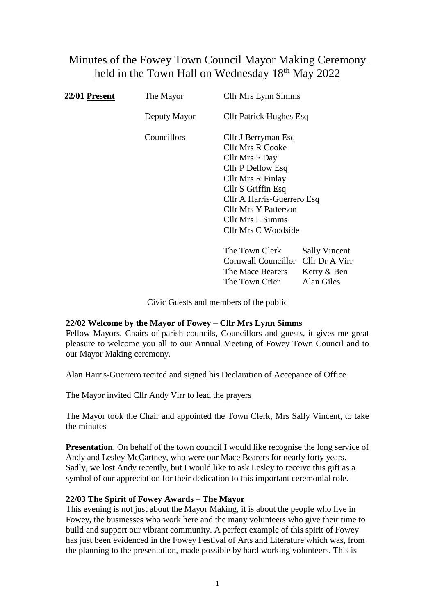# Minutes of the Fowey Town Council Mayor Making Ceremony held in the Town Hall on Wednesday 18th May 2022

| 22/01 <u>Present</u> | The Mayor    | <b>Cllr Mrs Lynn Simms</b>                                                                                                                                                      |                                                       |
|----------------------|--------------|---------------------------------------------------------------------------------------------------------------------------------------------------------------------------------|-------------------------------------------------------|
|                      | Deputy Mayor | <b>Cllr Patrick Hughes Esq</b>                                                                                                                                                  |                                                       |
|                      | Councillors  | Cllr J Berryman Esq<br>Cllr Mrs R Cooke<br>Cllr Mrs F Day<br>Cllr P Dellow Esq<br>Cllr Mrs R Finlay<br>Cllr S Griffin Esq<br>Cllr A Harris-Guerrero Esq<br>Cllr Mrs Y Patterson |                                                       |
|                      |              | Cllr Mrs L Simms<br><b>Cllr Mrs C Woodside</b>                                                                                                                                  |                                                       |
|                      |              | The Town Clerk<br>Cornwall Councillor<br>The Mace Bearers                                                                                                                       | <b>Sally Vincent</b><br>Cllr Dr A Virr<br>Kerry & Ben |

Civic Guests and members of the public

The Town Crier Alan Giles

## **22/02 Welcome by the Mayor of Fowey – Cllr Mrs Lynn Simms**

Fellow Mayors, Chairs of parish councils, Councillors and guests, it gives me great pleasure to welcome you all to our Annual Meeting of Fowey Town Council and to our Mayor Making ceremony.

Alan Harris-Guerrero recited and signed his Declaration of Accepance of Office

The Mayor invited Cllr Andy Virr to lead the prayers

The Mayor took the Chair and appointed the Town Clerk, Mrs Sally Vincent, to take the minutes

**Presentation**. On behalf of the town council I would like recognise the long service of Andy and Lesley McCartney, who were our Mace Bearers for nearly forty years. Sadly, we lost Andy recently, but I would like to ask Lesley to receive this gift as a symbol of our appreciation for their dedication to this important ceremonial role.

#### **22/03 The Spirit of Fowey Awards – The Mayor**

This evening is not just about the Mayor Making, it is about the people who live in Fowey, the businesses who work here and the many volunteers who give their time to build and support our vibrant community. A perfect example of this spirit of Fowey has just been evidenced in the Fowey Festival of Arts and Literature which was, from the planning to the presentation, made possible by hard working volunteers. This is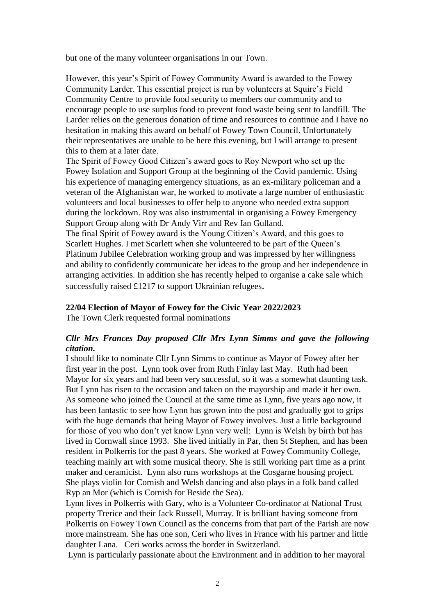but one of the many volunteer organisations in our Town.

However, this year's Spirit of Fowey Community Award is awarded to the Fowey Community Larder. This essential project is run by volunteers at Squire's Field Community Centre to provide food security to members our community and to encourage people to use surplus food to prevent food waste being sent to landfill. The Larder relies on the generous donation of time and resources to continue and I have no hesitation in making this award on behalf of Fowey Town Council. Unfortunately their representatives are unable to be here this evening, but I will arrange to present this to them at a later date.

The Spirit of Fowey Good Citizen's award goes to Roy Newport who set up the Fowey Isolation and Support Group at the beginning of the Covid pandemic. Using his experience of managing emergency situations, as an ex-military policeman and a veteran of the Afghanistan war, he worked to motivate a large number of enthusiastic volunteers and local businesses to offer help to anyone who needed extra support during the lockdown. Roy was also instrumental in organising a Fowey Emergency Support Group along with Dr Andy Virr and Rev Ian Gulland.

The final Spirit of Fowey award is the Young Citizen's Award, and this goes to Scarlett Hughes. I met Scarlett when she volunteered to be part of the Queen's Platinum Jubilee Celebration working group and was impressed by her willingness and ability to confidently communicate her ideas to the group and her independence in arranging activities. In addition she has recently helped to organise a cake sale which successfully raised £1217 to support Ukrainian refugees.

**22/04 Election of Mayor of Fowey for the Civic Year 2022/2023**

The Town Clerk requested formal nominations

## *Cllr Mrs Frances Day proposed Cllr Mrs Lynn Simms and gave the following citation.*

I should like to nominate Cllr Lynn Simms to continue as Mayor of Fowey after her first year in the post. Lynn took over from Ruth Finlay last May. Ruth had been Mayor for six years and had been very successful, so it was a somewhat daunting task. But Lynn has risen to the occasion and taken on the mayorship and made it her own. As someone who joined the Council at the same time as Lynn, five years ago now, it has been fantastic to see how Lynn has grown into the post and gradually got to grips with the huge demands that being Mayor of Fowey involves. Just a little background for those of you who don't yet know Lynn very well: Lynn is Welsh by birth but has lived in Cornwall since 1993. She lived initially in Par, then St Stephen, and has been resident in Polkerris for the past 8 years. She worked at Fowey Community College, teaching mainly art with some musical theory. She is still working part time as a print maker and ceramicist. Lynn also runs workshops at the Cosgarne housing project. She plays violin for Cornish and Welsh dancing and also plays in a folk band called Ryp an Mor (which is Cornish for Beside the Sea).

Lynn lives in Polkerris with Gary, who is a Volunteer Co-ordinator at National Trust property Trerice and their Jack Russell, Murray. It is brilliant having someone from Polkerris on Fowey Town Council as the concerns from that part of the Parish are now more mainstream. She has one son, Ceri who lives in France with his partner and little daughter Lana. Ceri works across the border in Switzerland.

Lynn is particularly passionate about the Environment and in addition to her mayoral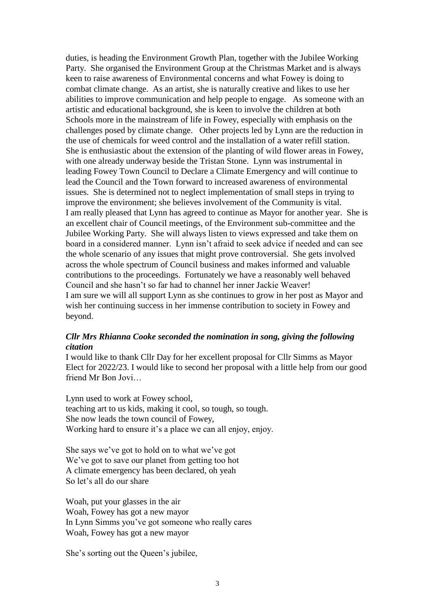duties, is heading the Environment Growth Plan, together with the Jubilee Working Party. She organised the Environment Group at the Christmas Market and is always keen to raise awareness of Environmental concerns and what Fowey is doing to combat climate change. As an artist, she is naturally creative and likes to use her abilities to improve communication and help people to engage. As someone with an artistic and educational background, she is keen to involve the children at both Schools more in the mainstream of life in Fowey, especially with emphasis on the challenges posed by climate change. Other projects led by Lynn are the reduction in the use of chemicals for weed control and the installation of a water refill station. She is enthusiastic about the extension of the planting of wild flower areas in Fowey, with one already underway beside the Tristan Stone. Lynn was instrumental in leading Fowey Town Council to Declare a Climate Emergency and will continue to lead the Council and the Town forward to increased awareness of environmental issues. She is determined not to neglect implementation of small steps in trying to improve the environment; she believes involvement of the Community is vital. I am really pleased that Lynn has agreed to continue as Mayor for another year. She is an excellent chair of Council meetings, of the Environment sub-committee and the Jubilee Working Party. She will always listen to views expressed and take them on board in a considered manner. Lynn isn't afraid to seek advice if needed and can see the whole scenario of any issues that might prove controversial. She gets involved across the whole spectrum of Council business and makes informed and valuable contributions to the proceedings. Fortunately we have a reasonably well behaved Council and she hasn't so far had to channel her inner Jackie Weaver! I am sure we will all support Lynn as she continues to grow in her post as Mayor and wish her continuing success in her immense contribution to society in Fowey and beyond.

#### *Cllr Mrs Rhianna Cooke seconded the nomination in song, giving the following citation*

I would like to thank Cllr Day for her excellent proposal for Cllr Simms as Mayor Elect for 2022/23. I would like to second her proposal with a little help from our good friend Mr Bon Jovi…

Lynn used to work at Fowey school, teaching art to us kids, making it cool, so tough, so tough. She now leads the town council of Fowey, Working hard to ensure it's a place we can all enjoy, enjoy.

She says we've got to hold on to what we've got We've got to save our planet from getting too hot A climate emergency has been declared, oh yeah So let's all do our share

Woah, put your glasses in the air Woah, Fowey has got a new mayor In Lynn Simms you've got someone who really cares Woah, Fowey has got a new mayor

She's sorting out the Queen's jubilee,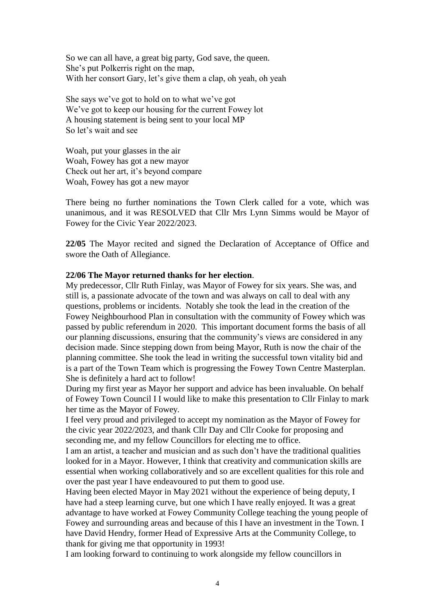So we can all have, a great big party, God save, the queen. She's put Polkerris right on the map, With her consort Gary, let's give them a clap, oh yeah, oh yeah

She says we've got to hold on to what we've got We've got to keep our housing for the current Fowey lot A housing statement is being sent to your local MP So let's wait and see

Woah, put your glasses in the air Woah, Fowey has got a new mayor Check out her art, it's beyond compare Woah, Fowey has got a new mayor

There being no further nominations the Town Clerk called for a vote, which was unanimous, and it was RESOLVED that Cllr Mrs Lynn Simms would be Mayor of Fowey for the Civic Year 2022/2023.

**22/05** The Mayor recited and signed the Declaration of Acceptance of Office and swore the Oath of Allegiance.

#### **22/06 The Mayor returned thanks for her election**.

My predecessor, Cllr Ruth Finlay, was Mayor of Fowey for six years. She was, and still is, a passionate advocate of the town and was always on call to deal with any questions, problems or incidents. Notably she took the lead in the creation of the Fowey Neighbourhood Plan in consultation with the community of Fowey which was passed by public referendum in 2020. This important document forms the basis of all our planning discussions, ensuring that the community's views are considered in any decision made. Since stepping down from being Mayor, Ruth is now the chair of the planning committee. She took the lead in writing the successful town vitality bid and is a part of the Town Team which is progressing the Fowey Town Centre Masterplan. She is definitely a hard act to follow!

During my first year as Mayor her support and advice has been invaluable. On behalf of Fowey Town Council I I would like to make this presentation to Cllr Finlay to mark her time as the Mayor of Fowey.

I feel very proud and privileged to accept my nomination as the Mayor of Fowey for the civic year 2022/2023, and thank Cllr Day and Cllr Cooke for proposing and seconding me, and my fellow Councillors for electing me to office.

I am an artist, a teacher and musician and as such don't have the traditional qualities looked for in a Mayor. However, I think that creativity and communication skills are essential when working collaboratively and so are excellent qualities for this role and over the past year I have endeavoured to put them to good use.

Having been elected Mayor in May 2021 without the experience of being deputy, I have had a steep learning curve, but one which I have really enjoyed. It was a great advantage to have worked at Fowey Community College teaching the young people of Fowey and surrounding areas and because of this I have an investment in the Town. I have David Hendry, former Head of Expressive Arts at the Community College, to thank for giving me that opportunity in 1993!

I am looking forward to continuing to work alongside my fellow councillors in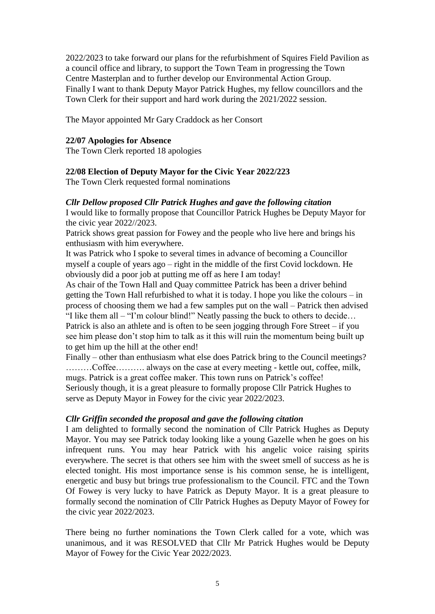2022/2023 to take forward our plans for the refurbishment of Squires Field Pavilion as a council office and library, to support the Town Team in progressing the Town Centre Masterplan and to further develop our Environmental Action Group. Finally I want to thank Deputy Mayor Patrick Hughes, my fellow councillors and the Town Clerk for their support and hard work during the 2021/2022 session.

The Mayor appointed Mr Gary Craddock as her Consort

## **22/07 Apologies for Absence**

The Town Clerk reported 18 apologies

## **22/08 Election of Deputy Mayor for the Civic Year 2022/223**

The Town Clerk requested formal nominations

## *Cllr Dellow proposed Cllr Patrick Hughes and gave the following citation*

I would like to formally propose that Councillor Patrick Hughes be Deputy Mayor for the civic year 2022//2023.

Patrick shows great passion for Fowey and the people who live here and brings his enthusiasm with him everywhere.

It was Patrick who I spoke to several times in advance of becoming a Councillor myself a couple of years ago – right in the middle of the first Covid lockdown. He obviously did a poor job at putting me off as here I am today!

As chair of the Town Hall and Quay committee Patrick has been a driver behind getting the Town Hall refurbished to what it is today. I hope you like the colours – in process of choosing them we had a few samples put on the wall – Patrick then advised "I like them all – "I'm colour blind!" Neatly passing the buck to others to decide… Patrick is also an athlete and is often to be seen jogging through Fore Street – if you see him please don't stop him to talk as it this will ruin the momentum being built up to get him up the hill at the other end!

Finally – other than enthusiasm what else does Patrick bring to the Council meetings? ………Coffee………. always on the case at every meeting - kettle out, coffee, milk, mugs. Patrick is a great coffee maker. This town runs on Patrick's coffee! Seriously though, it is a great pleasure to formally propose Cllr Patrick Hughes to serve as Deputy Mayor in Fowey for the civic year 2022/2023.

## *Cllr Griffin seconded the proposal and gave the following citation*

I am delighted to formally second the nomination of Cllr Patrick Hughes as Deputy Mayor. You may see Patrick today looking like a young Gazelle when he goes on his infrequent runs. You may hear Patrick with his angelic voice raising spirits everywhere. The secret is that others see him with the sweet smell of success as he is elected tonight. His most importance sense is his common sense, he is intelligent, energetic and busy but brings true professionalism to the Council. FTC and the Town Of Fowey is very lucky to have Patrick as Deputy Mayor. It is a great pleasure to formally second the nomination of Cllr Patrick Hughes as Deputy Mayor of Fowey for the civic year 2022/2023.

There being no further nominations the Town Clerk called for a vote, which was unanimous, and it was RESOLVED that Cllr Mr Patrick Hughes would be Deputy Mayor of Fowey for the Civic Year 2022/2023.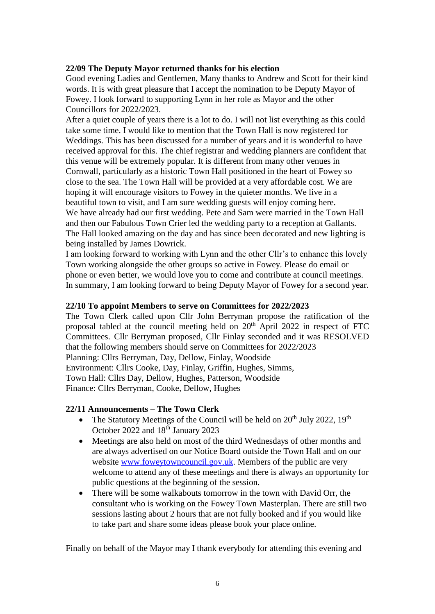## **22/09 The Deputy Mayor returned thanks for his election**

Good evening Ladies and Gentlemen, Many thanks to Andrew and Scott for their kind words. It is with great pleasure that I accept the nomination to be Deputy Mayor of Fowey. I look forward to supporting Lynn in her role as Mayor and the other Councillors for 2022/2023.

After a quiet couple of years there is a lot to do. I will not list everything as this could take some time. I would like to mention that the Town Hall is now registered for Weddings. This has been discussed for a number of years and it is wonderful to have received approval for this. The chief registrar and wedding planners are confident that this venue will be extremely popular. It is different from many other venues in Cornwall, particularly as a historic Town Hall positioned in the heart of Fowey so close to the sea. The Town Hall will be provided at a very affordable cost. We are hoping it will encourage visitors to Fowey in the quieter months. We live in a beautiful town to visit, and I am sure wedding guests will enjoy coming here. We have already had our first wedding. Pete and Sam were married in the Town Hall and then our Fabulous Town Crier led the wedding party to a reception at Gallants. The Hall looked amazing on the day and has since been decorated and new lighting is being installed by James Dowrick.

I am looking forward to working with Lynn and the other Cllr's to enhance this lovely Town working alongside the other groups so active in Fowey. Please do email or phone or even better, we would love you to come and contribute at council meetings. In summary, I am looking forward to being Deputy Mayor of Fowey for a second year.

#### **22/10 To appoint Members to serve on Committees for 2022/2023**

The Town Clerk called upon Cllr John Berryman propose the ratification of the proposal tabled at the council meeting held on 20<sup>th</sup> April 2022 in respect of FTC Committees. Cllr Berryman proposed, Cllr Finlay seconded and it was RESOLVED that the following members should serve on Committees for 2022/2023 Planning: Cllrs Berryman, Day, Dellow, Finlay, Woodside Environment: Cllrs Cooke, Day, Finlay, Griffin, Hughes, Simms, Town Hall: Cllrs Day, Dellow, Hughes, Patterson, Woodside Finance: Cllrs Berryman, Cooke, Dellow, Hughes

#### **22/11 Announcements – The Town Clerk**

- The Statutory Meetings of the Council will be held on  $20<sup>th</sup>$  July 2022, 19<sup>th</sup> October 2022 and 18<sup>th</sup> January 2023
- Meetings are also held on most of the third Wednesdays of other months and are always advertised on our Notice Board outside the Town Hall and on our website [www.foweytowncouncil.gov.uk.](http://www.foweytowncouncil.gov.uk/) Members of the public are very welcome to attend any of these meetings and there is always an opportunity for public questions at the beginning of the session.
- There will be some walkabouts tomorrow in the town with David Orr, the consultant who is working on the Fowey Town Masterplan. There are still two sessions lasting about 2 hours that are not fully booked and if you would like to take part and share some ideas please book your place online.

Finally on behalf of the Mayor may I thank everybody for attending this evening and